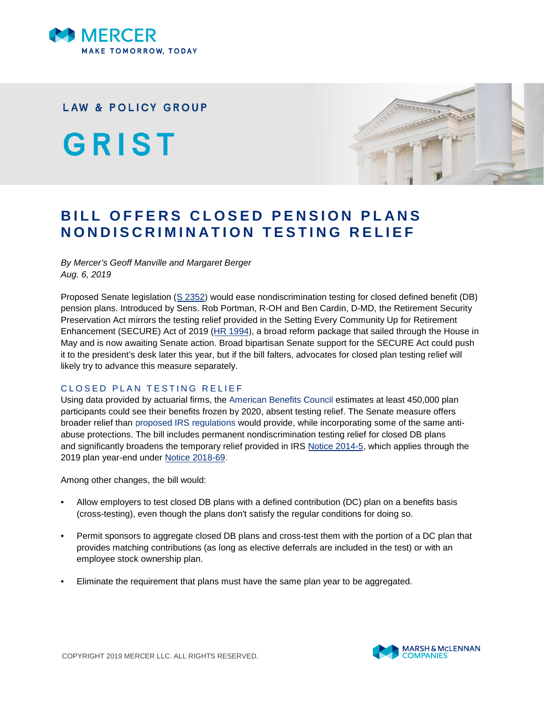

## **LAW & POLICY GROUP**

GRIST



# **BILL OFFERS CLOSED PENSION PLANS NONDISCRIMINATION TESTING RELIEF**

### *By Mercer's Geoff Manville and Margaret Berger Aug. 6, 2019*

Proposed Senate legislation ([S 2352\)](https://www.americanbenefitscouncil.org/pub/?id=096CAAEE-1866-DAAC-99FB-3811A6C55195) would ease nondiscrimination testing for closed defined benefit (DB) pension plans. Introduced by Sens. Rob Portman, R-OH and Ben Cardin, D-MD, the Retirement Security Preservation Act mirrors the testing relief provided in the Setting Every Community Up for Retirement Enhancement (SECURE) Act of 2019 ([HR 1994](https://waysandmeans.house.gov/sites/democrats.waysandmeans.house.gov/files/documents/AINS%20FInal%20to%20SECURE%20Act.pdf)), a broad reform package that sailed through the House in May and is now awaiting Senate action. Broad bipartisan Senate support for the SECURE Act could push it to the president's desk later this year, but if the bill falters, advocates for closed plan testing relief will likely try to advance this measure separately.

## CLOSED PLAN TESTING RELIEF

Using data provided by actuarial firms, the [American Benefits Council](https://www.americanbenefitscouncil.org/pub/D3A7CA82-1866-DAAC-99FB-2E2119543D7D) estimates at least 450,000 plan participants could see their benefits frozen by 2020, absent testing relief. The Senate measure offers broader relief than [proposed IRS regulations](https://www.govinfo.gov/content/pkg/FR-2016-01-29/pdf/2016-01675.pdf) would provide, while incorporating some of the same antiabuse protections. The bill includes permanent nondiscrimination testing relief for closed DB plans and significantly broadens the temporary relief provided in IRS [Notice 2014-5](https://www.irs.gov/pub/irs-drop/n-14-05.pdf), which applies through the 2019 plan year-end under [Notice 2018-69.](https://www.irs.gov/pub/irs-drop/n-18-69.pdf)

Among other changes, the bill would:

- Allow employers to test closed DB plans with a defined contribution (DC) plan on a benefits basis (cross-testing), even though the plans don't satisfy the regular conditions for doing so.
- Permit sponsors to aggregate closed DB plans and cross-test them with the portion of a DC plan that provides matching contributions (as long as elective deferrals are included in the test) or with an employee stock ownership plan.
- Eliminate the requirement that plans must have the same plan year to be aggregated.